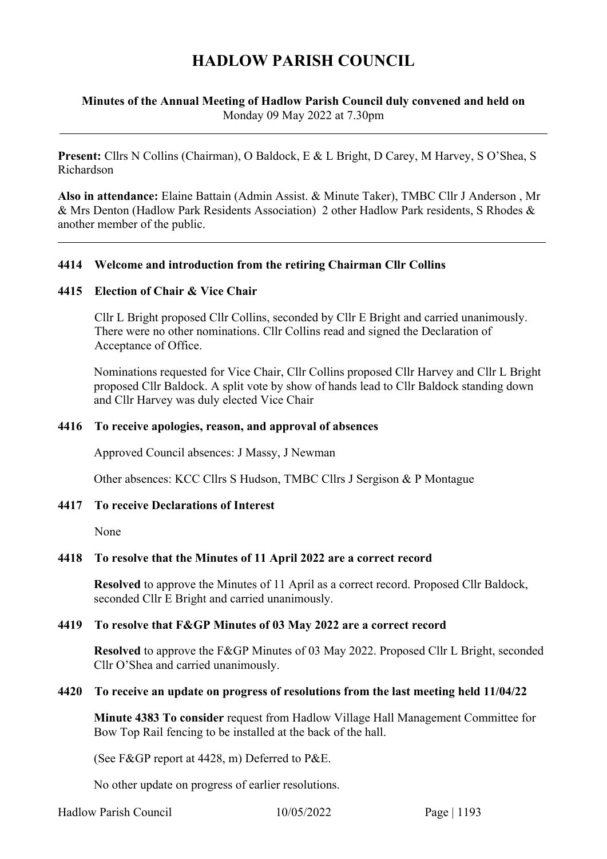# **HADLOW PARISH COUNCIL**

## **Minutes of the Annual Meeting of Hadlow Parish Council duly convened and held on** Monday 09 May 2022 at 7.30pm

**Present:** Cllrs N Collins (Chairman), O Baldock, E & L Bright, D Carey, M Harvey, S O'Shea, S Richardson

**Also in attendance:** Elaine Battain (Admin Assist. & Minute Taker), TMBC Cllr J Anderson , Mr & Mrs Denton (Hadlow Park Residents Association) 2 other Hadlow Park residents, S Rhodes & another member of the public.

## **4414 Welcome and introduction from the retiring Chairman Cllr Collins**

#### **4415 Election of Chair & Vice Chair**

Cllr L Bright proposed Cllr Collins, seconded by Cllr E Bright and carried unanimously. There were no other nominations. Cllr Collins read and signed the Declaration of Acceptance of Office.

Nominations requested for Vice Chair, Cllr Collins proposed Cllr Harvey and Cllr L Bright proposed Cllr Baldock. A split vote by show of hands lead to Cllr Baldock standing down and Cllr Harvey was duly elected Vice Chair

#### **4416 To receive apologies, reason, and approval of absences**

Approved Council absences: J Massy, J Newman

Other absences: KCC Cllrs S Hudson, TMBC Cllrs J Sergison & P Montague

## **4417 To receive Declarations of Interest**

None

## **4418 To resolve that the Minutes of 11 April 2022 are a correct record**

**Resolved** to approve the Minutes of 11 April as a correct record. Proposed Cllr Baldock, seconded Cllr E Bright and carried unanimously.

#### **4419 To resolve that F&GP Minutes of 03 May 2022 are a correct record**

**Resolved** to approve the F&GP Minutes of 03 May 2022. Proposed Cllr L Bright, seconded Cllr O'Shea and carried unanimously.

#### **4420 To receive an update on progress of resolutions from the last meeting held 11/04/22**

**Minute 4383 To consider** request from Hadlow Village Hall Management Committee for Bow Top Rail fencing to be installed at the back of the hall.

(See F&GP report at 4428, m) Deferred to P&E.

No other update on progress of earlier resolutions.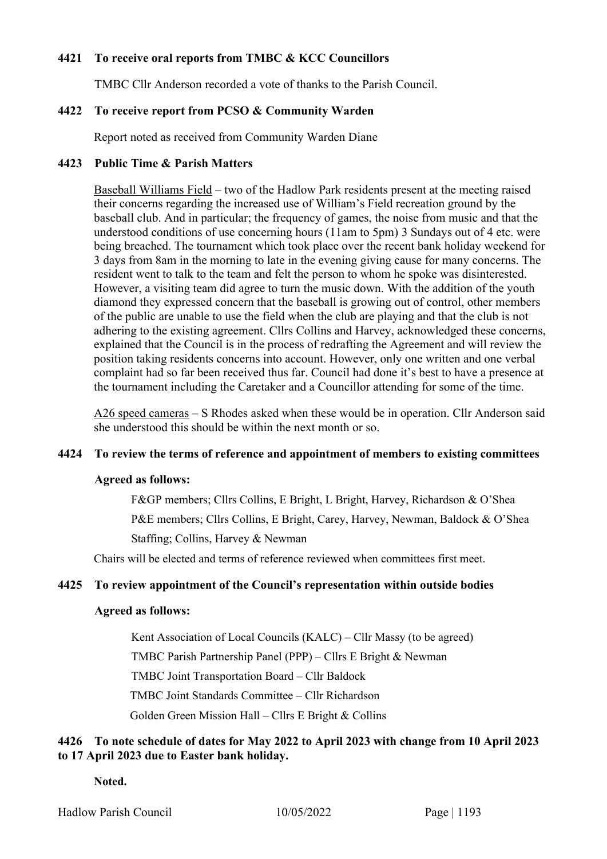## **4421 To receive oral reports from TMBC & KCC Councillors**

TMBC Cllr Anderson recorded a vote of thanks to the Parish Council.

## **4422 To receive report from PCSO & Community Warden**

Report noted as received from Community Warden Diane

## **4423 Public Time & Parish Matters**

Baseball Williams Field – two of the Hadlow Park residents present at the meeting raised their concerns regarding the increased use of William's Field recreation ground by the baseball club. And in particular; the frequency of games, the noise from music and that the understood conditions of use concerning hours (11am to 5pm) 3 Sundays out of 4 etc. were being breached. The tournament which took place over the recent bank holiday weekend for 3 days from 8am in the morning to late in the evening giving cause for many concerns. The resident went to talk to the team and felt the person to whom he spoke was disinterested. However, a visiting team did agree to turn the music down. With the addition of the youth diamond they expressed concern that the baseball is growing out of control, other members of the public are unable to use the field when the club are playing and that the club is not adhering to the existing agreement. Cllrs Collins and Harvey, acknowledged these concerns, explained that the Council is in the process of redrafting the Agreement and will review the position taking residents concerns into account. However, only one written and one verbal complaint had so far been received thus far. Council had done it's best to have a presence at the tournament including the Caretaker and a Councillor attending for some of the time.

A26 speed cameras – S Rhodes asked when these would be in operation. Cllr Anderson said she understood this should be within the next month or so.

#### **4424 To review the terms of reference and appointment of members to existing committees**

#### **Agreed as follows:**

F&GP members; Cllrs Collins, E Bright, L Bright, Harvey, Richardson & O'Shea

P&E members; Cllrs Collins, E Bright, Carey, Harvey, Newman, Baldock & O'Shea

Staffing; Collins, Harvey & Newman

Chairs will be elected and terms of reference reviewed when committees first meet.

## **4425 To review appointment of the Council's representation within outside bodies**

#### **Agreed as follows:**

Kent Association of Local Councils (KALC) – Cllr Massy (to be agreed) TMBC Parish Partnership Panel (PPP) – Cllrs E Bright & Newman TMBC Joint Transportation Board – Cllr Baldock TMBC Joint Standards Committee – Cllr Richardson Golden Green Mission Hall – Cllrs E Bright & Collins

## **4426 To note schedule of dates for May 2022 to April 2023 with change from 10 April 2023 to 17 April 2023 due to Easter bank holiday.**

**Noted.**

Hadlow Parish Council 10/05/2022 Page | 1193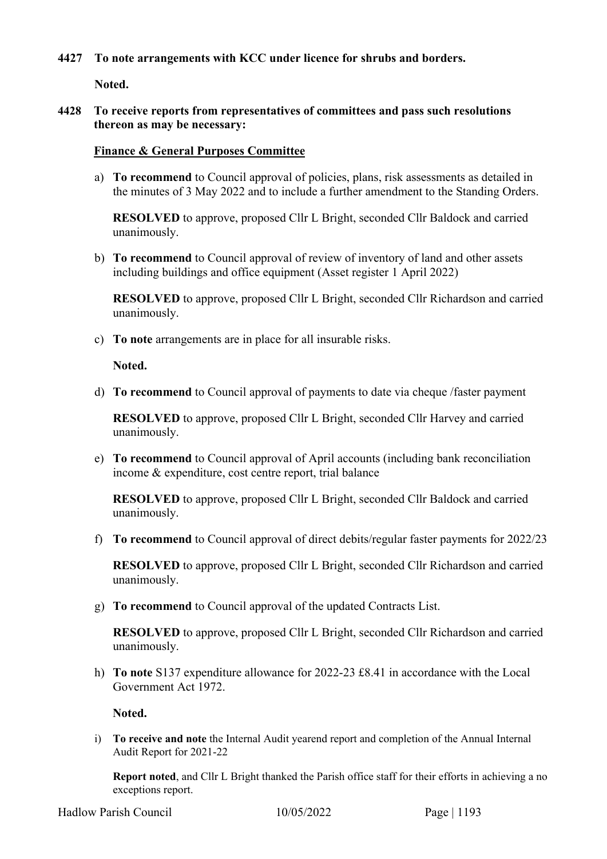## **4427 To note arrangements with KCC under licence for shrubs and borders.**

**Noted.**

## **4428 To receive reports from representatives of committees and pass such resolutions thereon as may be necessary:**

## **Finance & General Purposes Committee**

a) **To recommend** to Council approval of policies, plans, risk assessments as detailed in the minutes of 3 May 2022 and to include a further amendment to the Standing Orders.

**RESOLVED** to approve, proposed Cllr L Bright, seconded Cllr Baldock and carried unanimously.

b) **To recommend** to Council approval of review of inventory of land and other assets including buildings and office equipment (Asset register 1 April 2022)

**RESOLVED** to approve, proposed Cllr L Bright, seconded Cllr Richardson and carried unanimously.

c) **To note** arrangements are in place for all insurable risks.

**Noted.**

d) **To recommend** to Council approval of payments to date via cheque /faster payment

**RESOLVED** to approve, proposed Cllr L Bright, seconded Cllr Harvey and carried unanimously.

e) **To recommend** to Council approval of April accounts (including bank reconciliation income & expenditure, cost centre report, trial balance

**RESOLVED** to approve, proposed Cllr L Bright, seconded Cllr Baldock and carried unanimously.

f) **To recommend** to Council approval of direct debits/regular faster payments for 2022/23

**RESOLVED** to approve, proposed Cllr L Bright, seconded Cllr Richardson and carried unanimously.

g) **To recommend** to Council approval of the updated Contracts List.

**RESOLVED** to approve, proposed Cllr L Bright, seconded Cllr Richardson and carried unanimously.

h) **To note** S137 expenditure allowance for 2022-23 £8.41 in accordance with the Local Government Act 1972.

**Noted.**

i) **To receive and note** the Internal Audit yearend report and completion of the Annual Internal Audit Report for 2021-22

**Report noted**, and Cllr L Bright thanked the Parish office staff for their efforts in achieving a no exceptions report.

Hadlow Parish Council 10/05/2022 Page | 1193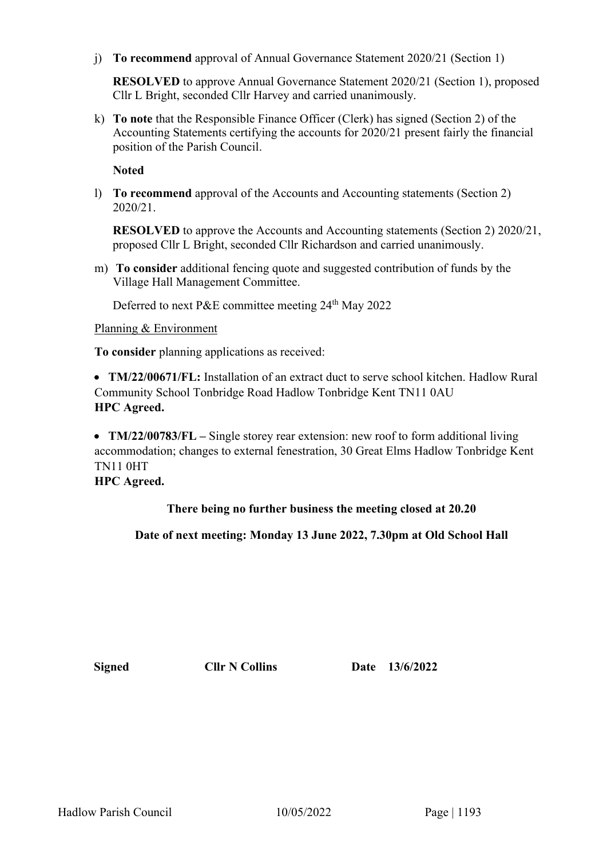j) **To recommend** approval of Annual Governance Statement 2020/21 (Section 1)

**RESOLVED** to approve Annual Governance Statement 2020/21 (Section 1), proposed Cllr L Bright, seconded Cllr Harvey and carried unanimously.

k) **To note** that the Responsible Finance Officer (Clerk) has signed (Section 2) of the Accounting Statements certifying the accounts for 2020/21 present fairly the financial position of the Parish Council.

**Noted**

l) **To recommend** approval of the Accounts and Accounting statements (Section 2) 2020/21.

**RESOLVED** to approve the Accounts and Accounting statements (Section 2) 2020/21, proposed Cllr L Bright, seconded Cllr Richardson and carried unanimously.

m) **To consider** additional fencing quote and suggested contribution of funds by the Village Hall Management Committee.

Deferred to next P&E committee meeting 24<sup>th</sup> May 2022

#### Planning & Environment

**To consider** planning applications as received:

• **TM/22/00671/FL:** Installation of an extract duct to serve school kitchen. Hadlow Rural Community School Tonbridge Road Hadlow Tonbridge Kent TN11 0AU **HPC Agreed.**

• **TM/22/00783/FL** – Single storey rear extension: new roof to form additional living accommodation; changes to external fenestration, 30 Great Elms Hadlow Tonbridge Kent TN11 0HT

**HPC Agreed.**

## **There being no further business the meeting closed at 20.20**

**Date of next meeting: Monday 13 June 2022, 7.30pm at Old School Hall**

**Signed Cllr N Collins Date 13/6/2022**